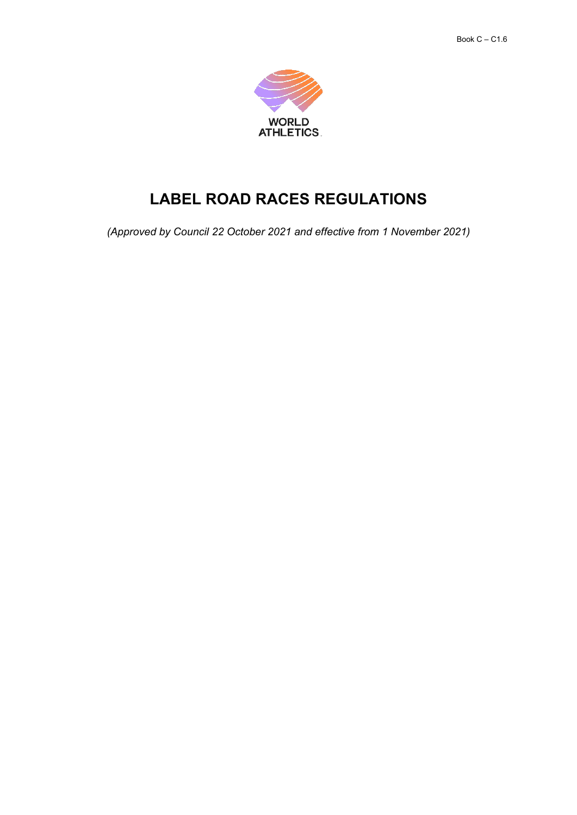

# **LABEL ROAD RACES REGULATIONS**

*(Approved by Council 22 October 2021 and effective from 1 November 2021)*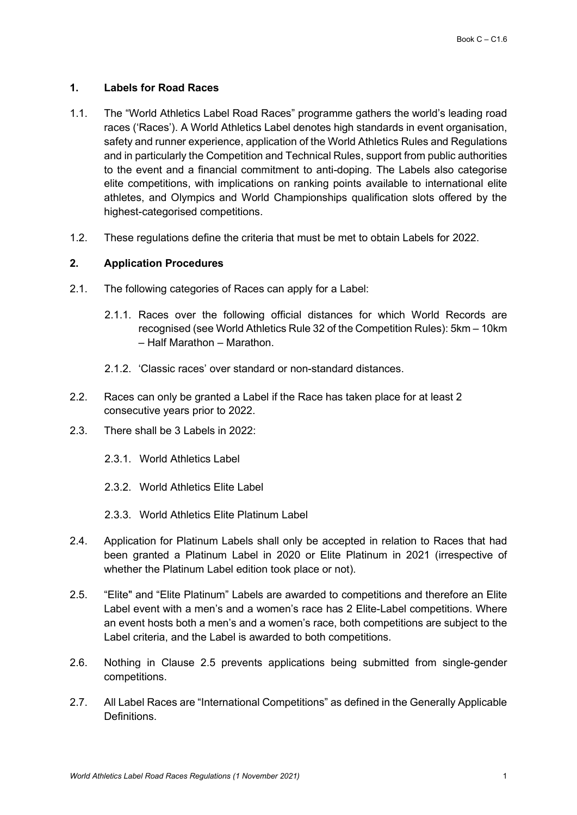#### **1. Labels for Road Races**

- 1.1. The "World Athletics Label Road Races" programme gathers the world's leading road races ('Races'). A World Athletics Label denotes high standards in event organisation, safety and runner experience, application of the World Athletics Rules and Regulations and in particularly the Competition and Technical Rules, support from public authorities to the event and a financial commitment to anti-doping. The Labels also categorise elite competitions, with implications on ranking points available to international elite athletes, and Olympics and World Championships qualification slots offered by the highest-categorised competitions.
- 1.2. These regulations define the criteria that must be met to obtain Labels for 2022.

## **2. Application Procedures**

- 2.1. The following categories of Races can apply for a Label:
	- 2.1.1. Races over the following official distances for which World Records are recognised (see World Athletics Rule 32 of the Competition Rules): 5km – 10km – Half Marathon – Marathon.
	- 2.1.2. 'Classic races' over standard or non-standard distances.
- 2.2. Races can only be granted a Label if the Race has taken place for at least 2 consecutive years prior to 2022.
- 2.3. There shall be 3 Labels in 2022:
	- 2.3.1. World Athletics Label
	- 2.3.2. World Athletics Flite Label
	- 2.3.3. World Athletics Elite Platinum Label
- 2.4. Application for Platinum Labels shall only be accepted in relation to Races that had been granted a Platinum Label in 2020 or Elite Platinum in 2021 (irrespective of whether the Platinum Label edition took place or not).
- 2.5. "Elite" and "Elite Platinum" Labels are awarded to competitions and therefore an Elite Label event with a men's and a women's race has 2 Elite-Label competitions. Where an event hosts both a men's and a women's race, both competitions are subject to the Label criteria, and the Label is awarded to both competitions.
- 2.6. Nothing in Clause 2.5 prevents applications being submitted from single-gender competitions.
- 2.7. All Label Races are "International Competitions" as defined in the Generally Applicable Definitions.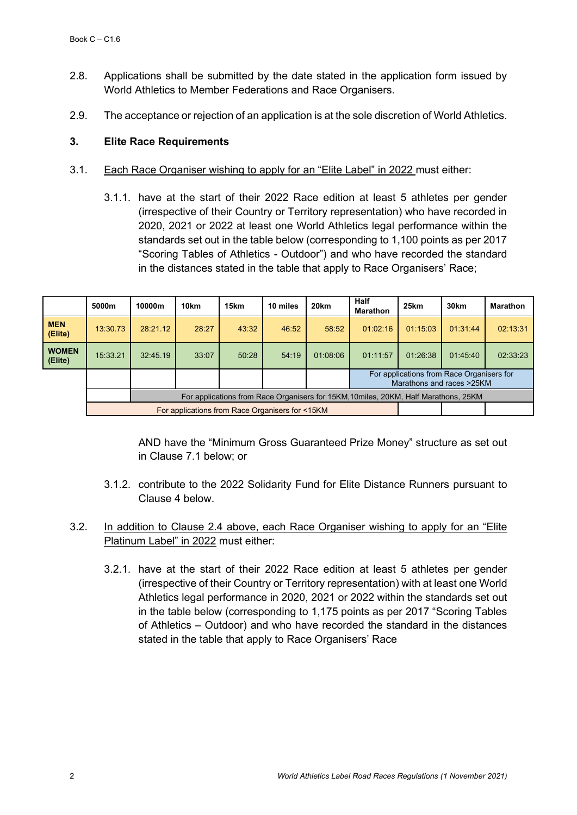- 2.8. Applications shall be submitted by the date stated in the application form issued by World Athletics to Member Federations and Race Organisers.
- 2.9. The acceptance or rejection of an application is at the sole discretion of World Athletics.

#### **3. Elite Race Requirements**

- 3.1. Each Race Organiser wishing to apply for an "Elite Label" in 2022 must either:
	- 3.1.1. have at the start of their 2022 Race edition at least 5 athletes per gender (irrespective of their Country or Territory representation) who have recorded in 2020, 2021 or 2022 at least one World Athletics legal performance within the standards set out in the table below (corresponding to 1,100 points as per 2017 "Scoring Tables of Athletics - Outdoor") and who have recorded the standard in the distances stated in the table that apply to Race Organisers' Race;

|                         | 5000m    | 10000m                                                                              | 10 <sub>km</sub> | 15km  | 10 miles | <b>20km</b> | Half<br>Marathon | 25km     | 30 <sub>km</sub> | <b>Marathon</b> |
|-------------------------|----------|-------------------------------------------------------------------------------------|------------------|-------|----------|-------------|------------------|----------|------------------|-----------------|
| <b>MEN</b><br>(Elite)   | 13:30.73 | 28:21.12                                                                            | 28:27            | 43:32 | 46:52    | 58:52       | 01:02:16         | 01.15.03 | 01:31:44         | 02:13:31        |
| <b>WOMEN</b><br>(Elite) | 15:33.21 | 32:45.19                                                                            | 33:07            | 50:28 | 54:19    | 01:08:06    | 01:11:57         | 01:26:38 | 01:45:40         | 02:33:23        |
|                         |          | For applications from Race Organisers for<br>Marathons and races >25KM              |                  |       |          |             |                  |          |                  |                 |
|                         |          | For applications from Race Organisers for 15KM, 10miles, 20KM, Half Marathons, 25KM |                  |       |          |             |                  |          |                  |                 |
|                         |          | For applications from Race Organisers for <15KM                                     |                  |       |          |             |                  |          |                  |                 |

AND have the "Minimum Gross Guaranteed Prize Money" structure as set out in Clause 7.1 below; or

- 3.1.2. contribute to the 2022 Solidarity Fund for Elite Distance Runners pursuant to Clause 4 below.
- 3.2. In addition to Clause 2.4 above, each Race Organiser wishing to apply for an "Elite Platinum Label" in 2022 must either:
	- 3.2.1. have at the start of their 2022 Race edition at least 5 athletes per gender (irrespective of their Country or Territory representation) with at least one World Athletics legal performance in 2020, 2021 or 2022 within the standards set out in the table below (corresponding to 1,175 points as per 2017 "Scoring Tables of Athletics – Outdoor) and who have recorded the standard in the distances stated in the table that apply to Race Organisers' Race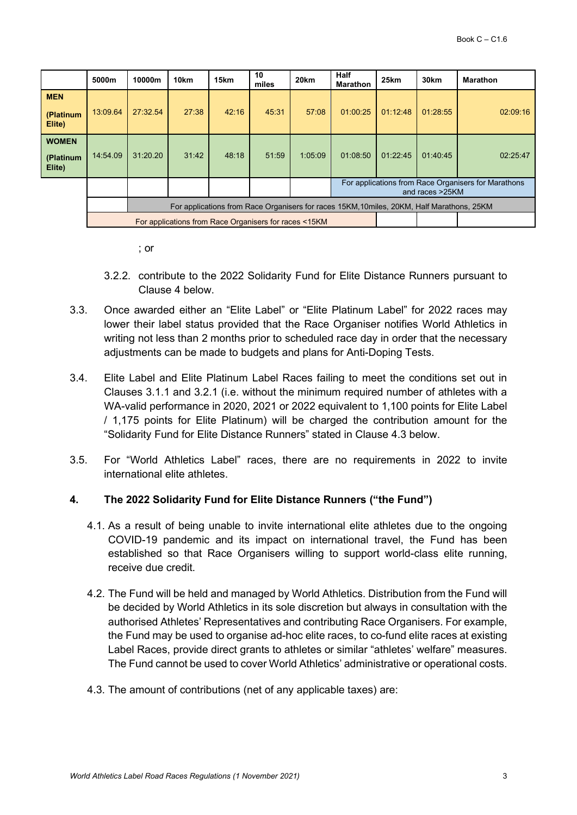|                                     | 5000m    | 10000m                                                                                    | 10 <sub>km</sub> | 15km  | 10<br>miles | 20km    | <b>Half</b><br><b>Marathon</b> | 25km     | 30 <sub>km</sub> | <b>Marathon</b> |
|-------------------------------------|----------|-------------------------------------------------------------------------------------------|------------------|-------|-------------|---------|--------------------------------|----------|------------------|-----------------|
| <b>MEN</b><br>(Platinum<br>Elite)   | 13:09.64 | 27:32.54                                                                                  | 27:38            | 42:16 | 45:31       | 57:08   | 01:00:25                       | 01:12:48 | 01:28:55         | 02:09:16        |
| <b>WOMEN</b><br>(Platinum<br>Elite) | 14:54.09 | 31:20.20                                                                                  | 31:42            | 48:18 | 51:59       | 1:05:09 | 01:08:50                       | 01:22:45 | 01:40:45         | 02:25:47        |
|                                     |          | For applications from Race Organisers for Marathons<br>and races >25KM                    |                  |       |             |         |                                |          |                  |                 |
|                                     |          | For applications from Race Organisers for races 15KM, 10miles, 20KM, Half Marathons, 25KM |                  |       |             |         |                                |          |                  |                 |
|                                     |          | For applications from Race Organisers for races <15KM                                     |                  |       |             |         |                                |          |                  |                 |

; or

- 3.2.2. contribute to the 2022 Solidarity Fund for Elite Distance Runners pursuant to Clause 4 below.
- 3.3. Once awarded either an "Elite Label" or "Elite Platinum Label" for 2022 races may lower their label status provided that the Race Organiser notifies World Athletics in writing not less than 2 months prior to scheduled race day in order that the necessary adjustments can be made to budgets and plans for Anti-Doping Tests.
- 3.4. Elite Label and Elite Platinum Label Races failing to meet the conditions set out in Clauses 3.1.1 and 3.2.1 (i.e. without the minimum required number of athletes with a WA-valid performance in 2020, 2021 or 2022 equivalent to 1,100 points for Elite Label / 1,175 points for Elite Platinum) will be charged the contribution amount for the "Solidarity Fund for Elite Distance Runners" stated in Clause 4.3 below.
- 3.5. For "World Athletics Label" races, there are no requirements in 2022 to invite international elite athletes.

# **4. The 2022 Solidarity Fund for Elite Distance Runners ("the Fund")**

- 4.1. As a result of being unable to invite international elite athletes due to the ongoing COVID-19 pandemic and its impact on international travel, the Fund has been established so that Race Organisers willing to support world-class elite running, receive due credit.
- 4.2. The Fund will be held and managed by World Athletics. Distribution from the Fund will be decided by World Athletics in its sole discretion but always in consultation with the authorised Athletes' Representatives and contributing Race Organisers. For example, the Fund may be used to organise ad-hoc elite races, to co-fund elite races at existing Label Races, provide direct grants to athletes or similar "athletes' welfare" measures. The Fund cannot be used to cover World Athletics' administrative or operational costs.
- 4.3. The amount of contributions (net of any applicable taxes) are: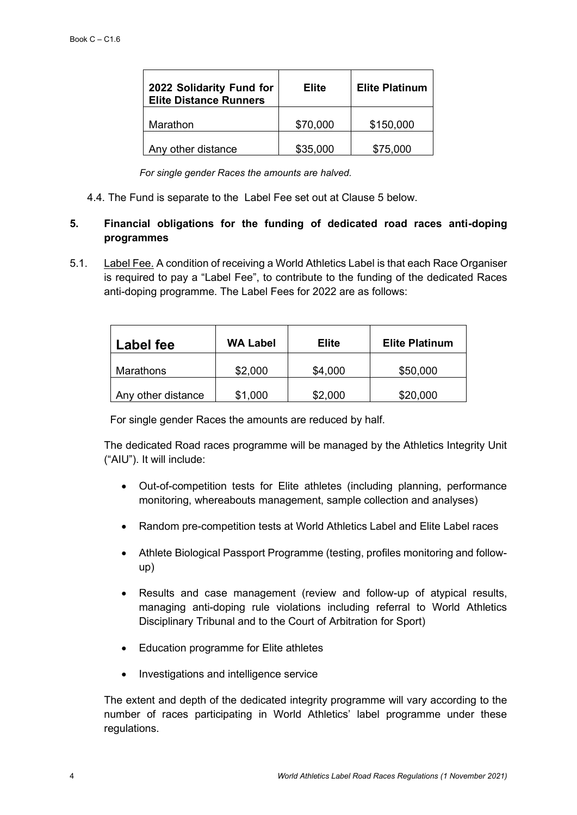| 2022 Solidarity Fund for<br><b>Elite Distance Runners</b> | Elite    | <b>Elite Platinum</b> |  |
|-----------------------------------------------------------|----------|-----------------------|--|
| Marathon                                                  | \$70,000 | \$150,000             |  |
| Any other distance                                        | \$35,000 | \$75,000              |  |

*For single gender Races the amounts are halved.*

4.4. The Fund is separate to the Label Fee set out at Clause 5 below.

# **5. Financial obligations for the funding of dedicated road races anti-doping programmes**

5.1. Label Fee. A condition of receiving a World Athletics Label is that each Race Organiser is required to pay a "Label Fee", to contribute to the funding of the dedicated Races anti-doping programme. The Label Fees for 2022 are as follows:

| Label fee          | <b>WA Label</b> | Elite   | <b>Elite Platinum</b> |  |
|--------------------|-----------------|---------|-----------------------|--|
| Marathons          | \$2,000         | \$4,000 | \$50,000              |  |
| Any other distance | \$1,000         | \$2,000 | \$20,000              |  |

For single gender Races the amounts are reduced by half.

The dedicated Road races programme will be managed by the Athletics Integrity Unit ("AIU"). It will include:

- Out-of-competition tests for Elite athletes (including planning, performance monitoring, whereabouts management, sample collection and analyses)
- Random pre-competition tests at World Athletics Label and Elite Label races
- Athlete Biological Passport Programme (testing, profiles monitoring and followup)
- Results and case management (review and follow-up of atypical results, managing anti-doping rule violations including referral to World Athletics Disciplinary Tribunal and to the Court of Arbitration for Sport)
- Education programme for Elite athletes
- Investigations and intelligence service

The extent and depth of the dedicated integrity programme will vary according to the number of races participating in World Athletics' label programme under these regulations.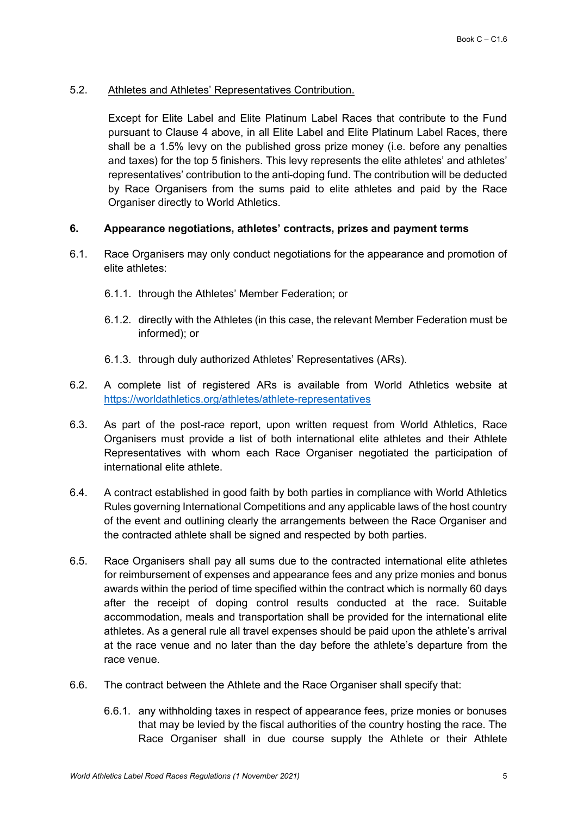# 5.2. Athletes and Athletes' Representatives Contribution.

Except for Elite Label and Elite Platinum Label Races that contribute to the Fund pursuant to Clause 4 above, in all Elite Label and Elite Platinum Label Races, there shall be a 1.5% levy on the published gross prize money (i.e. before any penalties and taxes) for the top 5 finishers. This levy represents the elite athletes' and athletes' representatives' contribution to the anti-doping fund. The contribution will be deducted by Race Organisers from the sums paid to elite athletes and paid by the Race Organiser directly to World Athletics.

## **6. Appearance negotiations, athletes' contracts, prizes and payment terms**

- 6.1. Race Organisers may only conduct negotiations for the appearance and promotion of elite athletes:
	- 6.1.1. through the Athletes' Member Federation; or
	- 6.1.2. directly with the Athletes (in this case, the relevant Member Federation must be informed); or
	- 6.1.3. through duly authorized Athletes' Representatives (ARs).
- 6.2. A complete list of registered ARs is available from World Athletics website at <https://worldathletics.org/athletes/athlete-representatives>
- 6.3. As part of the post-race report, upon written request from World Athletics, Race Organisers must provide a list of both international elite athletes and their Athlete Representatives with whom each Race Organiser negotiated the participation of international elite athlete.
- 6.4. A contract established in good faith by both parties in compliance with World Athletics Rules governing International Competitions and any applicable laws of the host country of the event and outlining clearly the arrangements between the Race Organiser and the contracted athlete shall be signed and respected by both parties.
- 6.5. Race Organisers shall pay all sums due to the contracted international elite athletes for reimbursement of expenses and appearance fees and any prize monies and bonus awards within the period of time specified within the contract which is normally 60 days after the receipt of doping control results conducted at the race. Suitable accommodation, meals and transportation shall be provided for the international elite athletes. As a general rule all travel expenses should be paid upon the athlete's arrival at the race venue and no later than the day before the athlete's departure from the race venue.
- 6.6. The contract between the Athlete and the Race Organiser shall specify that:
	- 6.6.1. any withholding taxes in respect of appearance fees, prize monies or bonuses that may be levied by the fiscal authorities of the country hosting the race. The Race Organiser shall in due course supply the Athlete or their Athlete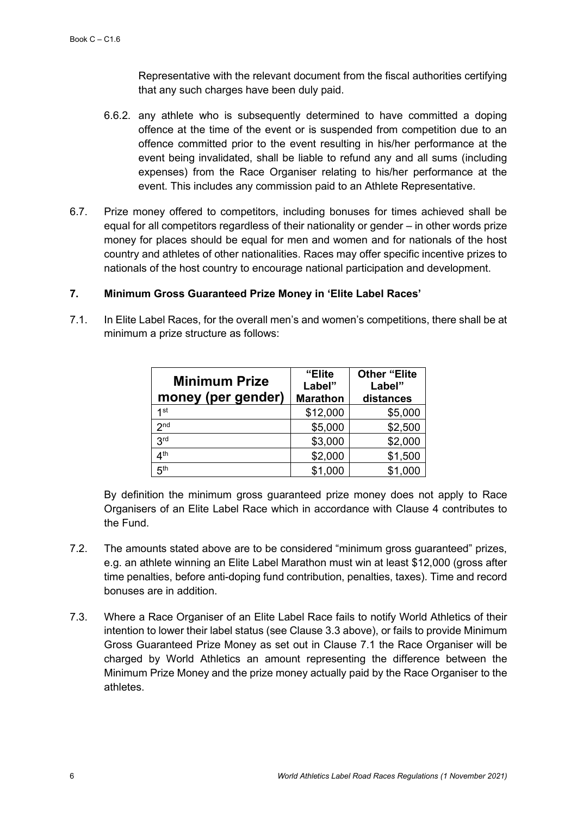Representative with the relevant document from the fiscal authorities certifying that any such charges have been duly paid.

- 6.6.2. any athlete who is subsequently determined to have committed a doping offence at the time of the event or is suspended from competition due to an offence committed prior to the event resulting in his/her performance at the event being invalidated, shall be liable to refund any and all sums (including expenses) from the Race Organiser relating to his/her performance at the event. This includes any commission paid to an Athlete Representative.
- 6.7. Prize money offered to competitors, including bonuses for times achieved shall be equal for all competitors regardless of their nationality or gender – in other words prize money for places should be equal for men and women and for nationals of the host country and athletes of other nationalities. Races may offer specific incentive prizes to nationals of the host country to encourage national participation and development.

# **7. Minimum Gross Guaranteed Prize Money in 'Elite Label Races'**

7.1. In Elite Label Races, for the overall men's and women's competitions, there shall be at minimum a prize structure as follows:

| <b>Minimum Prize</b><br>money (per gender) | "Elite<br>Label"<br><b>Marathon</b> | <b>Other "Elite</b><br>Label"<br>distances |  |
|--------------------------------------------|-------------------------------------|--------------------------------------------|--|
| 1st                                        | \$12,000                            | \$5,000                                    |  |
| 2 <sub>nd</sub>                            | \$5,000                             | \$2,500                                    |  |
| 3 <sup>rd</sup>                            | \$3,000                             | \$2,000                                    |  |
| 4 <sup>th</sup>                            | \$2,000                             | \$1,500                                    |  |
| 5 <sup>th</sup>                            | \$1,000                             | \$1,000                                    |  |

By definition the minimum gross guaranteed prize money does not apply to Race Organisers of an Elite Label Race which in accordance with Clause 4 contributes to the Fund.

- 7.2. The amounts stated above are to be considered "minimum gross guaranteed" prizes, e.g. an athlete winning an Elite Label Marathon must win at least \$12,000 (gross after time penalties, before anti-doping fund contribution, penalties, taxes). Time and record bonuses are in addition.
- 7.3. Where a Race Organiser of an Elite Label Race fails to notify World Athletics of their intention to lower their label status (see Clause 3.3 above), or fails to provide Minimum Gross Guaranteed Prize Money as set out in Clause 7.1 the Race Organiser will be charged by World Athletics an amount representing the difference between the Minimum Prize Money and the prize money actually paid by the Race Organiser to the athletes.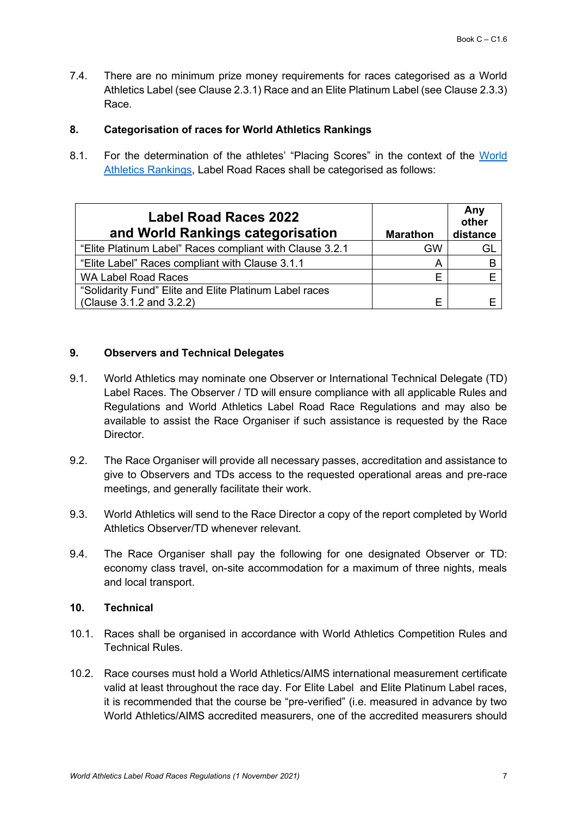7.4. There are no minimum prize money requirements for races categorised as a World Athletics Label (see Clause 2.3.1) Race and an Elite Platinum Label (see Clause 2.3.3) Race.

## **8. Categorisation of races for World Athletics Rankings**

8.1. For the determination of the athletes' "Placing Scores" in the context of the [World](https://www.worldathletics.org/world-ranking-rules/road-running)  [Athletics Rankings,](https://www.worldathletics.org/world-ranking-rules/road-running) Label Road Races shall be categorised as follows:

| <b>Label Road Races 2022</b><br>and World Rankings categorisation | <b>Marathon</b> | Any<br>other<br>distance |
|-------------------------------------------------------------------|-----------------|--------------------------|
| "Elite Platinum Label" Races compliant with Clause 3.2.1          | <b>GW</b>       | GL                       |
| "Elite Label" Races compliant with Clause 3.1.1                   | А               | B                        |
| <b>WA Label Road Races</b>                                        |                 |                          |
| "Solidarity Fund" Elite and Elite Platinum Label races            |                 |                          |
| (Clause 3.1.2 and 3.2.2)                                          |                 |                          |

# **9. Observers and Technical Delegates**

- 9.1. World Athletics may nominate one Observer or International Technical Delegate (TD) Label Races. The Observer / TD will ensure compliance with all applicable Rules and Regulations and World Athletics Label Road Race Regulations and may also be available to assist the Race Organiser if such assistance is requested by the Race Director.
- 9.2. The Race Organiser will provide all necessary passes, accreditation and assistance to give to Observers and TDs access to the requested operational areas and pre-race meetings, and generally facilitate their work.
- 9.3. World Athletics will send to the Race Director a copy of the report completed by World Athletics Observer/TD whenever relevant.
- 9.4. The Race Organiser shall pay the following for one designated Observer or TD: economy class travel, on-site accommodation for a maximum of three nights, meals and local transport.

## **10. Technical**

- 10.1. Races shall be organised in accordance with World Athletics Competition Rules and Technical Rules.
- 10.2. Race courses must hold a World Athletics/AIMS international measurement certificate valid at least throughout the race day. For Elite Label and Elite Platinum Label races, it is recommended that the course be "pre-verified" (i.e. measured in advance by two World Athletics/AIMS accredited measurers, one of the accredited measurers should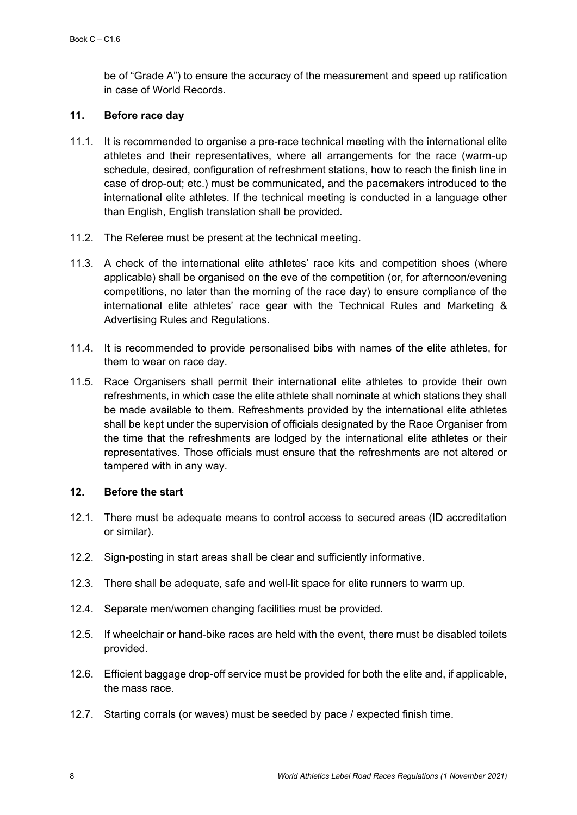be of "Grade A") to ensure the accuracy of the measurement and speed up ratification in case of World Records.

# **11. Before race day**

- 11.1. It is recommended to organise a pre-race technical meeting with the international elite athletes and their representatives, where all arrangements for the race (warm-up schedule, desired, configuration of refreshment stations, how to reach the finish line in case of drop-out; etc.) must be communicated, and the pacemakers introduced to the international elite athletes. If the technical meeting is conducted in a language other than English, English translation shall be provided.
- 11.2. The Referee must be present at the technical meeting.
- 11.3. A check of the international elite athletes' race kits and competition shoes (where applicable) shall be organised on the eve of the competition (or, for afternoon/evening competitions, no later than the morning of the race day) to ensure compliance of the international elite athletes' race gear with the Technical Rules and Marketing & Advertising Rules and Regulations.
- 11.4. It is recommended to provide personalised bibs with names of the elite athletes, for them to wear on race day.
- 11.5. Race Organisers shall permit their international elite athletes to provide their own refreshments, in which case the elite athlete shall nominate at which stations they shall be made available to them. Refreshments provided by the international elite athletes shall be kept under the supervision of officials designated by the Race Organiser from the time that the refreshments are lodged by the international elite athletes or their representatives. Those officials must ensure that the refreshments are not altered or tampered with in any way.

## **12. Before the start**

- 12.1. There must be adequate means to control access to secured areas (ID accreditation or similar).
- 12.2. Sign-posting in start areas shall be clear and sufficiently informative.
- 12.3. There shall be adequate, safe and well-lit space for elite runners to warm up.
- 12.4. Separate men/women changing facilities must be provided.
- 12.5. If wheelchair or hand-bike races are held with the event, there must be disabled toilets provided.
- 12.6. Efficient baggage drop-off service must be provided for both the elite and, if applicable, the mass race.
- 12.7. Starting corrals (or waves) must be seeded by pace / expected finish time.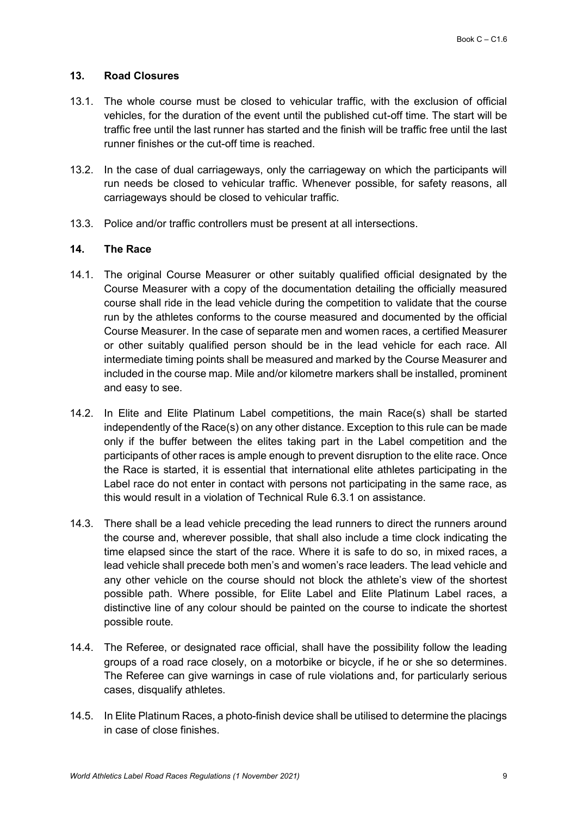### **13. Road Closures**

- 13.1. The whole course must be closed to vehicular traffic, with the exclusion of official vehicles, for the duration of the event until the published cut-off time. The start will be traffic free until the last runner has started and the finish will be traffic free until the last runner finishes or the cut-off time is reached.
- 13.2. In the case of dual carriageways, only the carriageway on which the participants will run needs be closed to vehicular traffic. Whenever possible, for safety reasons, all carriageways should be closed to vehicular traffic.
- 13.3. Police and/or traffic controllers must be present at all intersections.

# **14. The Race**

- 14.1. The original Course Measurer or other suitably qualified official designated by the Course Measurer with a copy of the documentation detailing the officially measured course shall ride in the lead vehicle during the competition to validate that the course run by the athletes conforms to the course measured and documented by the official Course Measurer. In the case of separate men and women races, a certified Measurer or other suitably qualified person should be in the lead vehicle for each race. All intermediate timing points shall be measured and marked by the Course Measurer and included in the course map. Mile and/or kilometre markers shall be installed, prominent and easy to see.
- 14.2. In Elite and Elite Platinum Label competitions, the main Race(s) shall be started independently of the Race(s) on any other distance. Exception to this rule can be made only if the buffer between the elites taking part in the Label competition and the participants of other races is ample enough to prevent disruption to the elite race. Once the Race is started, it is essential that international elite athletes participating in the Label race do not enter in contact with persons not participating in the same race, as this would result in a violation of Technical Rule 6.3.1 on assistance.
- 14.3. There shall be a lead vehicle preceding the lead runners to direct the runners around the course and, wherever possible, that shall also include a time clock indicating the time elapsed since the start of the race. Where it is safe to do so, in mixed races, a lead vehicle shall precede both men's and women's race leaders. The lead vehicle and any other vehicle on the course should not block the athlete's view of the shortest possible path. Where possible, for Elite Label and Elite Platinum Label races, a distinctive line of any colour should be painted on the course to indicate the shortest possible route.
- 14.4. The Referee, or designated race official, shall have the possibility follow the leading groups of a road race closely, on a motorbike or bicycle, if he or she so determines. The Referee can give warnings in case of rule violations and, for particularly serious cases, disqualify athletes.
- 14.5. In Elite Platinum Races, a photo-finish device shall be utilised to determine the placings in case of close finishes.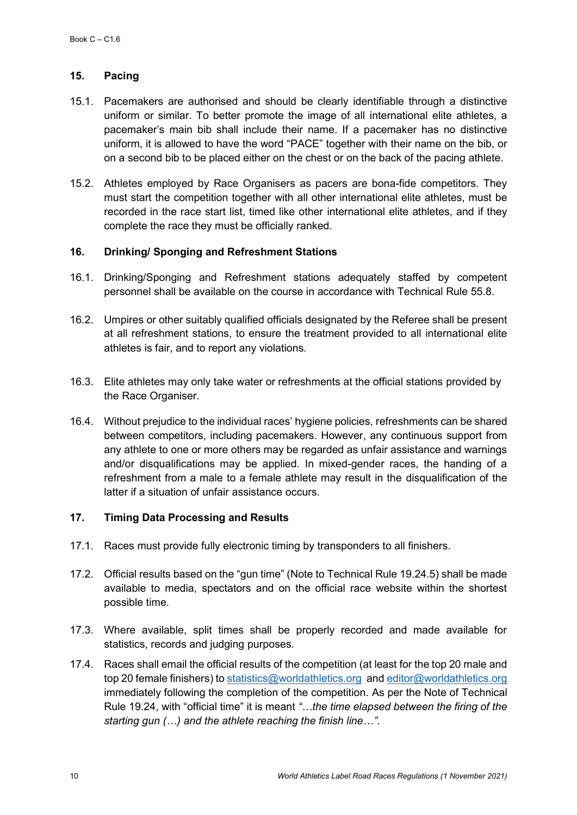## **15. Pacing**

- 15.1. Pacemakers are authorised and should be clearly identifiable through a distinctive uniform or similar. To better promote the image of all international elite athletes, a pacemaker's main bib shall include their name. If a pacemaker has no distinctive uniform, it is allowed to have the word "PACE" together with their name on the bib, or on a second bib to be placed either on the chest or on the back of the pacing athlete.
- 15.2. Athletes employed by Race Organisers as pacers are bona-fide competitors. They must start the competition together with all other international elite athletes, must be recorded in the race start list, timed like other international elite athletes, and if they complete the race they must be officially ranked.

# **16. Drinking/ Sponging and Refreshment Stations**

- 16.1. Drinking/Sponging and Refreshment stations adequately staffed by competent personnel shall be available on the course in accordance with Technical Rule 55.8.
- 16.2. Umpires or other suitably qualified officials designated by the Referee shall be present at all refreshment stations, to ensure the treatment provided to all international elite athletes is fair, and to report any violations.
- 16.3. Elite athletes may only take water or refreshments at the official stations provided by the Race Organiser.
- 16.4. Without prejudice to the individual races' hygiene policies, refreshments can be shared between competitors, including pacemakers. However, any continuous support from any athlete to one or more others may be regarded as unfair assistance and warnings and/or disqualifications may be applied. In mixed-gender races, the handing of a refreshment from a male to a female athlete may result in the disqualification of the latter if a situation of unfair assistance occurs.

# **17. Timing Data Processing and Results**

- 17.1. Races must provide fully electronic timing by transponders to all finishers.
- 17.2. Official results based on the "gun time" (Note to Technical Rule 19.24.5) shall be made available to media, spectators and on the official race website within the shortest possible time.
- 17.3. Where available, split times shall be properly recorded and made available for statistics, records and judging purposes.
- 17.4. Races shall email the official results of the competition (at least for the top 20 male and top 20 female finishers) to [statistics@worldathletics.org](mailto:statistics@worldathletics.org) and [editor@worldathletics.org](mailto:editor@worldathletics.org) immediately following the completion of the competition. As per the Note of Technical Rule 19.24, with "official time" it is meant *"…the time elapsed between the firing of the starting gun (…) and the athlete reaching the finish line…".*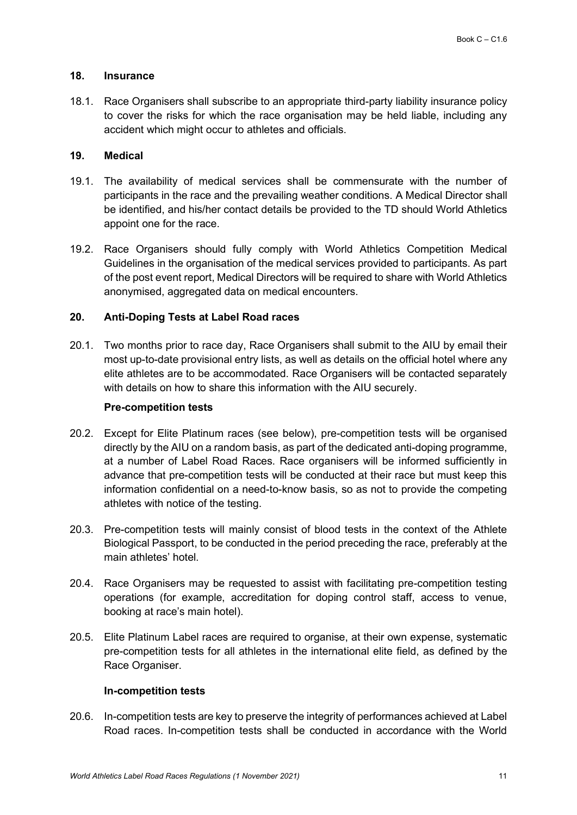#### **18. Insurance**

18.1. Race Organisers shall subscribe to an appropriate third-party liability insurance policy to cover the risks for which the race organisation may be held liable, including any accident which might occur to athletes and officials.

## **19. Medical**

- 19.1. The availability of medical services shall be commensurate with the number of participants in the race and the prevailing weather conditions. A Medical Director shall be identified, and his/her contact details be provided to the TD should World Athletics appoint one for the race.
- 19.2. Race Organisers should fully comply with World Athletics Competition Medical Guidelines in the organisation of the medical services provided to participants. As part of the post event report, Medical Directors will be required to share with World Athletics anonymised, aggregated data on medical encounters.

## **20. Anti-Doping Tests at Label Road races**

20.1. Two months prior to race day, Race Organisers shall submit to the AIU by email their most up-to-date provisional entry lists, as well as details on the official hotel where any elite athletes are to be accommodated. Race Organisers will be contacted separately with details on how to share this information with the AIU securely.

#### **Pre-competition tests**

- 20.2. Except for Elite Platinum races (see below), pre-competition tests will be organised directly by the AIU on a random basis, as part of the dedicated anti-doping programme, at a number of Label Road Races. Race organisers will be informed sufficiently in advance that pre-competition tests will be conducted at their race but must keep this information confidential on a need-to-know basis, so as not to provide the competing athletes with notice of the testing.
- 20.3. Pre-competition tests will mainly consist of blood tests in the context of the Athlete Biological Passport, to be conducted in the period preceding the race, preferably at the main athletes' hotel.
- 20.4. Race Organisers may be requested to assist with facilitating pre-competition testing operations (for example, accreditation for doping control staff, access to venue, booking at race's main hotel).
- 20.5. Elite Platinum Label races are required to organise, at their own expense, systematic pre-competition tests for all athletes in the international elite field, as defined by the Race Organiser.

#### **In-competition tests**

20.6. In-competition tests are key to preserve the integrity of performances achieved at Label Road races. In-competition tests shall be conducted in accordance with the World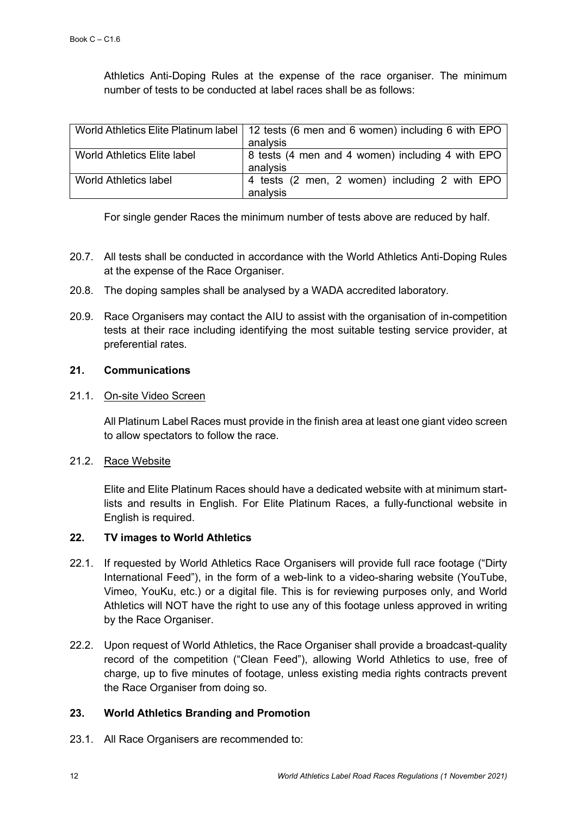Athletics Anti-Doping Rules at the expense of the race organiser. The minimum number of tests to be conducted at label races shall be as follows:

|                              | World Athletics Elite Platinum label   12 tests (6 men and 6 women) including 6 with EPO<br>analysis |
|------------------------------|------------------------------------------------------------------------------------------------------|
| World Athletics Elite label  | 8 tests (4 men and 4 women) including 4 with EPO<br>analysis                                         |
| <b>World Athletics label</b> | 4 tests (2 men, 2 women) including 2 with EPO<br>analysis                                            |

For single gender Races the minimum number of tests above are reduced by half.

- 20.7. All tests shall be conducted in accordance with the World Athletics Anti-Doping Rules at the expense of the Race Organiser.
- 20.8. The doping samples shall be analysed by a WADA accredited laboratory.
- 20.9. Race Organisers may contact the AIU to assist with the organisation of in-competition tests at their race including identifying the most suitable testing service provider, at preferential rates.

#### **21. Communications**

## 21.1. On-site Video Screen

All Platinum Label Races must provide in the finish area at least one giant video screen to allow spectators to follow the race.

#### 21.2. Race Website

Elite and Elite Platinum Races should have a dedicated website with at minimum startlists and results in English. For Elite Platinum Races, a fully-functional website in English is required.

# **22. TV images to World Athletics**

- 22.1. If requested by World Athletics Race Organisers will provide full race footage ("Dirty International Feed"), in the form of a web-link to a video-sharing website (YouTube, Vimeo, YouKu, etc.) or a digital file. This is for reviewing purposes only, and World Athletics will NOT have the right to use any of this footage unless approved in writing by the Race Organiser.
- 22.2. Upon request of World Athletics, the Race Organiser shall provide a broadcast-quality record of the competition ("Clean Feed"), allowing World Athletics to use, free of charge, up to five minutes of footage, unless existing media rights contracts prevent the Race Organiser from doing so.

## **23. World Athletics Branding and Promotion**

23.1. All Race Organisers are recommended to: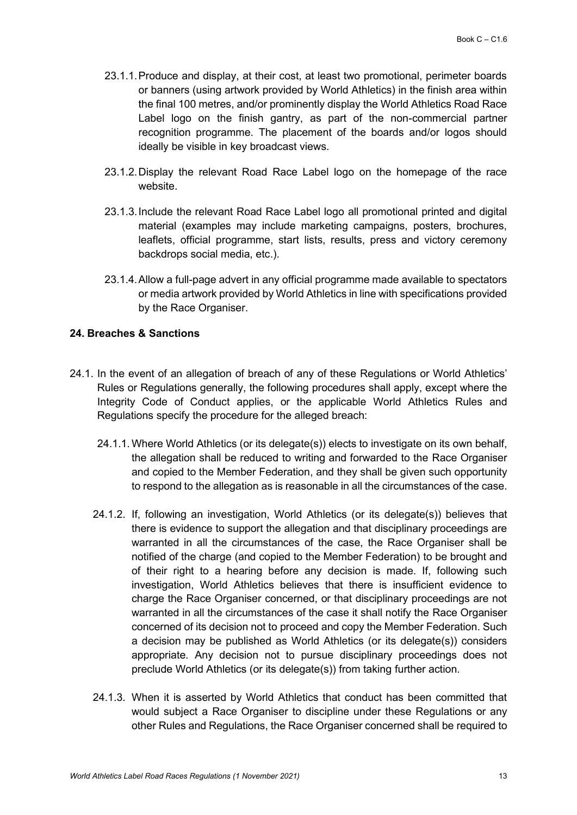- 23.1.1.Produce and display, at their cost, at least two promotional, perimeter boards or banners (using artwork provided by World Athletics) in the finish area within the final 100 metres, and/or prominently display the World Athletics Road Race Label logo on the finish gantry, as part of the non-commercial partner recognition programme. The placement of the boards and/or logos should ideally be visible in key broadcast views.
- 23.1.2.Display the relevant Road Race Label logo on the homepage of the race website.
- 23.1.3.Include the relevant Road Race Label logo all promotional printed and digital material (examples may include marketing campaigns, posters, brochures, leaflets, official programme, start lists, results, press and victory ceremony backdrops social media, etc.).
- 23.1.4.Allow a full-page advert in any official programme made available to spectators or media artwork provided by World Athletics in line with specifications provided by the Race Organiser.

## **24. Breaches & Sanctions**

- 24.1. In the event of an allegation of breach of any of these Regulations or World Athletics' Rules or Regulations generally, the following procedures shall apply, except where the Integrity Code of Conduct applies, or the applicable World Athletics Rules and Regulations specify the procedure for the alleged breach:
	- 24.1.1. Where World Athletics (or its delegate(s)) elects to investigate on its own behalf, the allegation shall be reduced to writing and forwarded to the Race Organiser and copied to the Member Federation, and they shall be given such opportunity to respond to the allegation as is reasonable in all the circumstances of the case.
	- 24.1.2. If, following an investigation, World Athletics (or its delegate(s)) believes that there is evidence to support the allegation and that disciplinary proceedings are warranted in all the circumstances of the case, the Race Organiser shall be notified of the charge (and copied to the Member Federation) to be brought and of their right to a hearing before any decision is made. If, following such investigation, World Athletics believes that there is insufficient evidence to charge the Race Organiser concerned, or that disciplinary proceedings are not warranted in all the circumstances of the case it shall notify the Race Organiser concerned of its decision not to proceed and copy the Member Federation. Such a decision may be published as World Athletics (or its delegate(s)) considers appropriate. Any decision not to pursue disciplinary proceedings does not preclude World Athletics (or its delegate(s)) from taking further action.
	- 24.1.3. When it is asserted by World Athletics that conduct has been committed that would subject a Race Organiser to discipline under these Regulations or any other Rules and Regulations, the Race Organiser concerned shall be required to